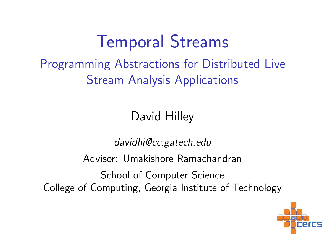## Temporal Streams

#### Programming Abstractions for Distributed Live Stream Analysis Applications

David Hilley

davidhi@cc.gatech.edu

Advisor: Umakishore Ramachandran

School of Computer Science College of Computing, Georgia Institute of Technology

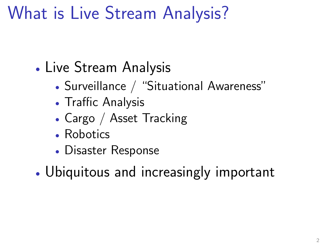## What is Live Stream Analysis?

- Live Stream Analysis
	- Surveillance / "Situational Awareness"
	- Traffic Analysis
	- Cargo / Asset Tracking
	- Robotics
	- Disaster Response
- Ubiquitous and increasingly important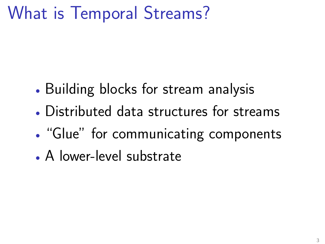## What is Temporal Streams?

- Building blocks for stream analysis
- Distributed data structures for streams
- "Glue" for communicating components
- A lower-level substrate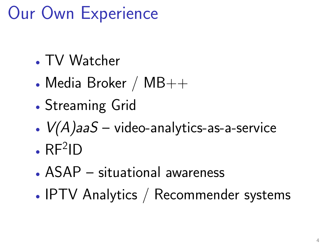## Our Own Experience

- TV Watcher
- Media Broker /  $MB++$
- Streaming Grid
- $V(A)$ aa $S$  video-analytics-as-a-service
- $\cdot$  RF<sup>2</sup>ID
- ASAP situational awareness
- IPTV Analytics / Recommender systems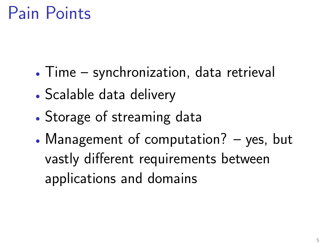## Pain Points

- Time synchronization, data retrieval
- Scalable data delivery
- Storage of streaming data
- Management of computation? yes, but vastly different requirements between applications and domains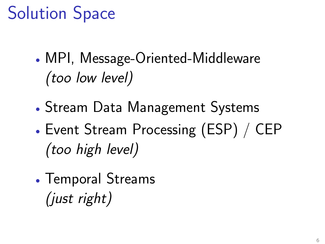## Solution Space

- MPI, Message-Oriented-Middleware (too low level)
- Stream Data Management Systems
- Event Stream Processing (ESP) / CEP (too high level)
- Temporal Streams (just right)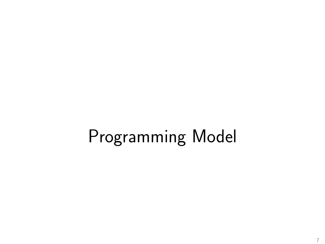# Programming Model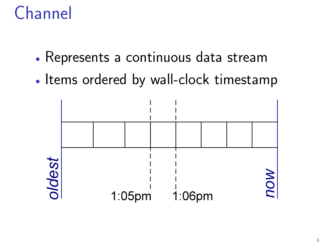## Channel

- Represents a continuous data stream
- Items ordered by wall-clock timestamp

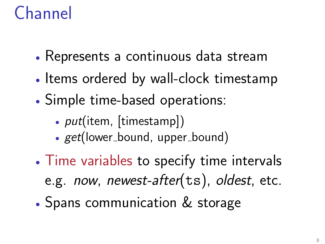## Channel

- Represents a continuous data stream
- Items ordered by wall-clock timestamp
- Simple time-based operations:
	- *put*(item, [timestamp])
	- get(lower\_bound, upper\_bound)
- Time variables to specify time intervals e.g. now, newest-after(ts), oldest, etc.
- Spans communication & storage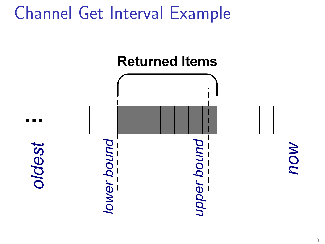## Channel Get Interval Example

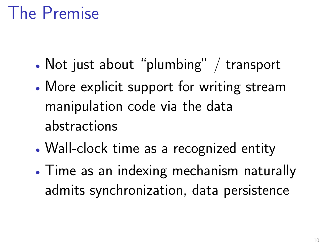## The Premise

- Not just about "plumbing" / transport
- More explicit support for writing stream manipulation code via the data abstractions
- Wall-clock time as a recognized entity
- Time as an indexing mechanism naturally admits synchronization, data persistence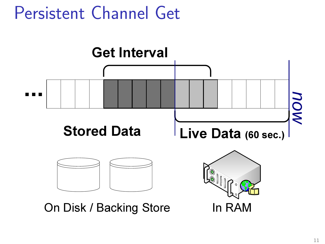## Persistent Channel Get

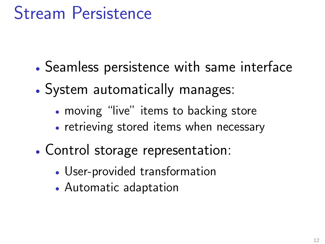## Stream Persistence

- Seamless persistence with same interface
- System automatically manages:
	- moving "live" items to backing store
	- retrieving stored items when necessary
- Control storage representation:
	- User-provided transformation
	- Automatic adaptation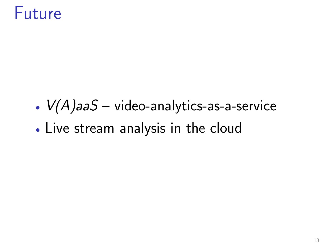#### Future

- $V(A)$ aaS video-analytics-as-a-service
- Live stream analysis in the cloud